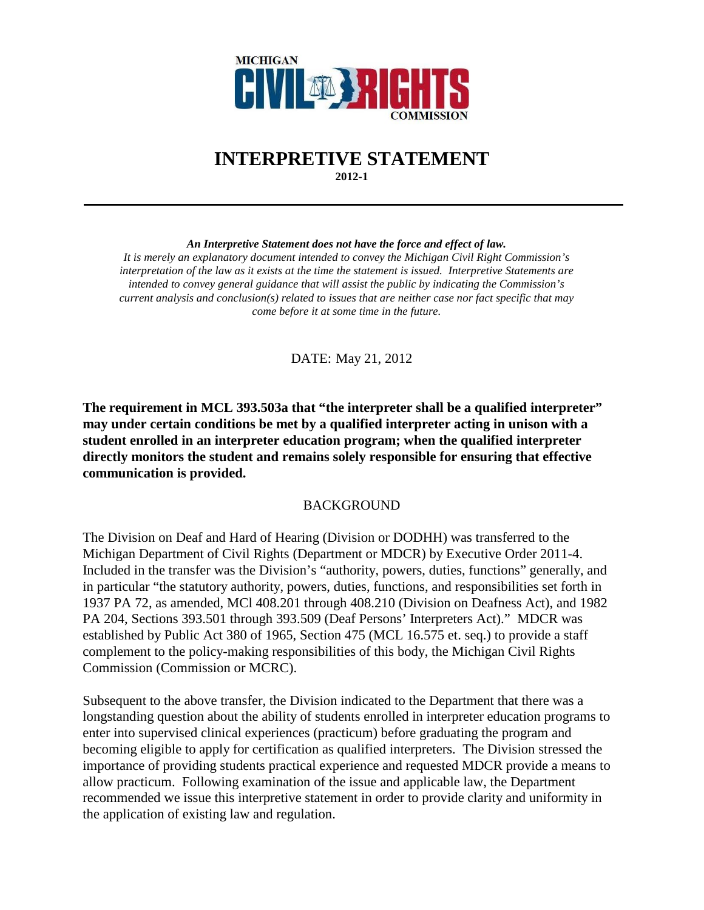

# **INTERPRETIVE STATEMENT 2012-1**

*An Interpretive Statement does not have the force and effect of law.* 

*It is merely an explanatory document intended to convey the Michigan Civil Right Commission's interpretation of the law as it exists at the time the statement is issued. Interpretive Statements are intended to convey general guidance that will assist the public by indicating the Commission's current analysis and conclusion(s) related to issues that are neither case nor fact specific that may come before it at some time in the future.* 

DATE: May 21, 2012

**The requirement in MCL 393.503a that "the interpreter shall be a qualified interpreter" may under certain conditions be met by a qualified interpreter acting in unison with a student enrolled in an interpreter education program; when the qualified interpreter directly monitors the student and remains solely responsible for ensuring that effective communication is provided.**

#### BACKGROUND

The Division on Deaf and Hard of Hearing (Division or DODHH) was transferred to the Michigan Department of Civil Rights (Department or MDCR) by Executive Order 2011-4. Included in the transfer was the Division's "authority, powers, duties, functions" generally, and in particular "the statutory authority, powers, duties, functions, and responsibilities set forth in 1937 PA 72, as amended, MCl 408.201 through 408.210 (Division on Deafness Act), and 1982 PA 204, Sections 393.501 through 393.509 (Deaf Persons' Interpreters Act)." MDCR was established by Public Act 380 of 1965, Section 475 (MCL 16.575 et. seq.) to provide a staff complement to the policy-making responsibilities of this body, the Michigan Civil Rights Commission (Commission or MCRC).

Subsequent to the above transfer, the Division indicated to the Department that there was a longstanding question about the ability of students enrolled in interpreter education programs to enter into supervised clinical experiences (practicum) before graduating the program and becoming eligible to apply for certification as qualified interpreters. The Division stressed the importance of providing students practical experience and requested MDCR provide a means to allow practicum. Following examination of the issue and applicable law, the Department recommended we issue this interpretive statement in order to provide clarity and uniformity in the application of existing law and regulation.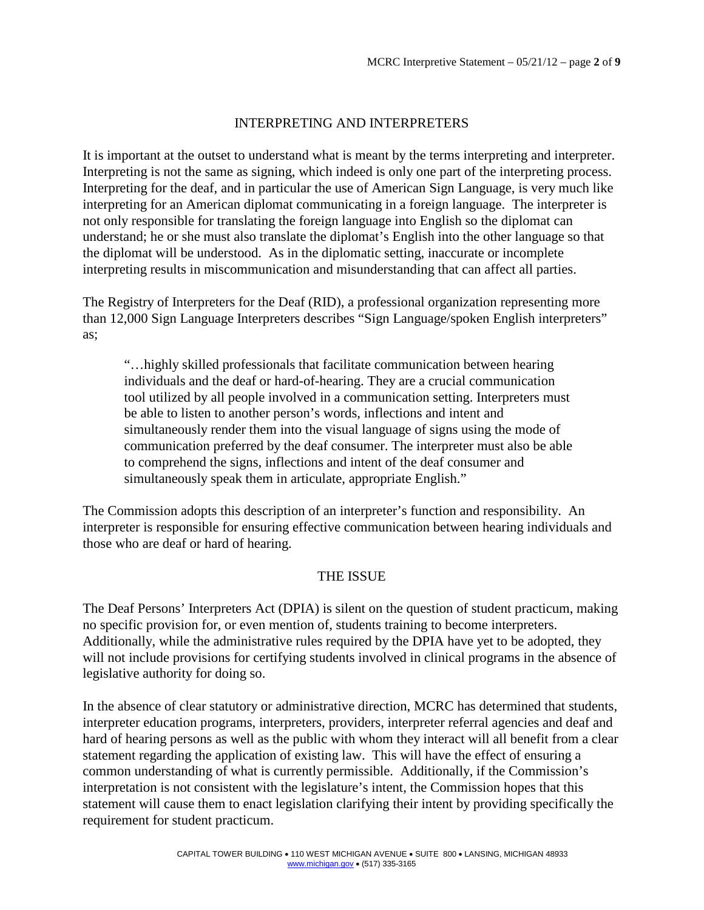# INTERPRETING AND INTERPRETERS

It is important at the outset to understand what is meant by the terms interpreting and interpreter. Interpreting is not the same as signing, which indeed is only one part of the interpreting process. Interpreting for the deaf, and in particular the use of American Sign Language, is very much like interpreting for an American diplomat communicating in a foreign language. The interpreter is not only responsible for translating the foreign language into English so the diplomat can understand; he or she must also translate the diplomat's English into the other language so that the diplomat will be understood. As in the diplomatic setting, inaccurate or incomplete interpreting results in miscommunication and misunderstanding that can affect all parties.

The Registry of Interpreters for the Deaf (RID), a professional organization representing more than 12,000 Sign Language Interpreters describes "Sign Language/spoken English interpreters" as;

"…highly skilled professionals that facilitate communication between hearing individuals and the deaf or hard-of-hearing. They are a crucial communication tool utilized by all people involved in a communication setting. Interpreters must be able to listen to another person's words, inflections and intent and simultaneously render them into the visual language of signs using the mode of communication preferred by the deaf consumer. The interpreter must also be able to comprehend the signs, inflections and intent of the deaf consumer and simultaneously speak them in articulate, appropriate English."

The Commission adopts this description of an interpreter's function and responsibility. An interpreter is responsible for ensuring effective communication between hearing individuals and those who are deaf or hard of hearing.

# THE ISSUE

The Deaf Persons' Interpreters Act (DPIA) is silent on the question of student practicum, making no specific provision for, or even mention of, students training to become interpreters. Additionally, while the administrative rules required by the DPIA have yet to be adopted, they will not include provisions for certifying students involved in clinical programs in the absence of legislative authority for doing so.

In the absence of clear statutory or administrative direction, MCRC has determined that students, interpreter education programs, interpreters, providers, interpreter referral agencies and deaf and hard of hearing persons as well as the public with whom they interact will all benefit from a clear statement regarding the application of existing law. This will have the effect of ensuring a common understanding of what is currently permissible. Additionally, if the Commission's interpretation is not consistent with the legislature's intent, the Commission hopes that this statement will cause them to enact legislation clarifying their intent by providing specifically the requirement for student practicum.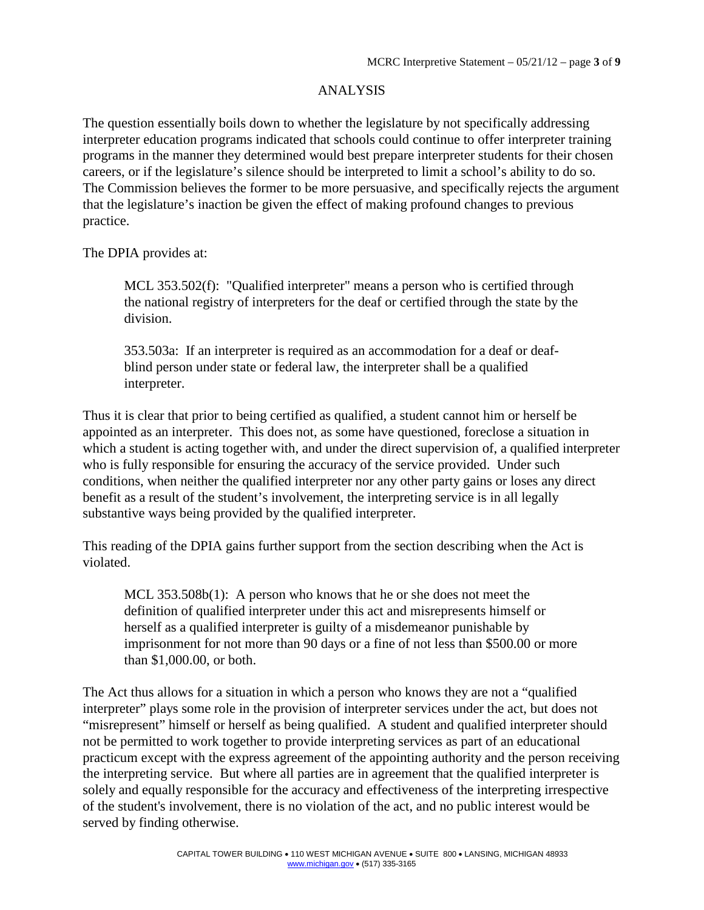#### ANALYSIS

The question essentially boils down to whether the legislature by not specifically addressing interpreter education programs indicated that schools could continue to offer interpreter training programs in the manner they determined would best prepare interpreter students for their chosen careers, or if the legislature's silence should be interpreted to limit a school's ability to do so. The Commission believes the former to be more persuasive, and specifically rejects the argument that the legislature's inaction be given the effect of making profound changes to previous practice.

The DPIA provides at:

MCL 353.502(f): "Qualified interpreter" means a person who is certified through the national registry of interpreters for the deaf or certified through the state by the division.

353.503a: If an interpreter is required as an accommodation for a deaf or deafblind person under state or federal law, the interpreter shall be a qualified interpreter.

Thus it is clear that prior to being certified as qualified, a student cannot him or herself be appointed as an interpreter. This does not, as some have questioned, foreclose a situation in which a student is acting together with, and under the direct supervision of, a qualified interpreter who is fully responsible for ensuring the accuracy of the service provided. Under such conditions, when neither the qualified interpreter nor any other party gains or loses any direct benefit as a result of the student's involvement, the interpreting service is in all legally substantive ways being provided by the qualified interpreter.

This reading of the DPIA gains further support from the section describing when the Act is violated.

MCL 353.508b(1): A person who knows that he or she does not meet the definition of qualified interpreter under this act and misrepresents himself or herself as a qualified interpreter is guilty of a misdemeanor punishable by imprisonment for not more than 90 days or a fine of not less than \$500.00 or more than \$1,000.00, or both.

The Act thus allows for a situation in which a person who knows they are not a "qualified interpreter" plays some role in the provision of interpreter services under the act, but does not "misrepresent" himself or herself as being qualified. A student and qualified interpreter should not be permitted to work together to provide interpreting services as part of an educational practicum except with the express agreement of the appointing authority and the person receiving the interpreting service. But where all parties are in agreement that the qualified interpreter is solely and equally responsible for the accuracy and effectiveness of the interpreting irrespective of the student's involvement, there is no violation of the act, and no public interest would be served by finding otherwise.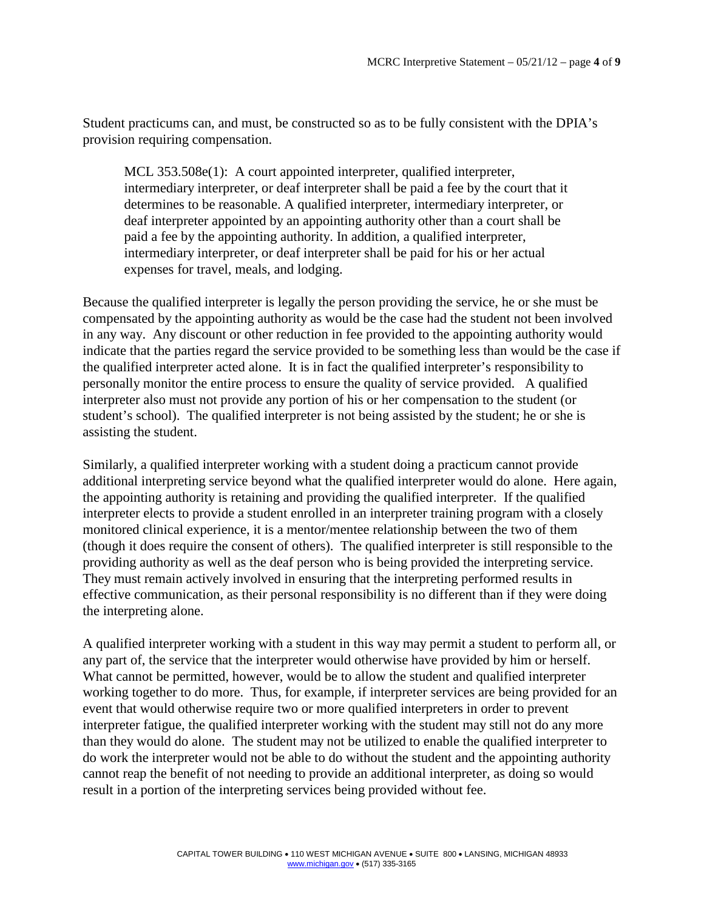Student practicums can, and must, be constructed so as to be fully consistent with the DPIA's provision requiring compensation.

MCL 353.508e(1): A court appointed interpreter, qualified interpreter, intermediary interpreter, or deaf interpreter shall be paid a fee by the court that it determines to be reasonable. A qualified interpreter, intermediary interpreter, or deaf interpreter appointed by an appointing authority other than a court shall be paid a fee by the appointing authority. In addition, a qualified interpreter, intermediary interpreter, or deaf interpreter shall be paid for his or her actual expenses for travel, meals, and lodging.

Because the qualified interpreter is legally the person providing the service, he or she must be compensated by the appointing authority as would be the case had the student not been involved in any way. Any discount or other reduction in fee provided to the appointing authority would indicate that the parties regard the service provided to be something less than would be the case if the qualified interpreter acted alone. It is in fact the qualified interpreter's responsibility to personally monitor the entire process to ensure the quality of service provided. A qualified interpreter also must not provide any portion of his or her compensation to the student (or student's school). The qualified interpreter is not being assisted by the student; he or she is assisting the student.

Similarly, a qualified interpreter working with a student doing a practicum cannot provide additional interpreting service beyond what the qualified interpreter would do alone. Here again, the appointing authority is retaining and providing the qualified interpreter. If the qualified interpreter elects to provide a student enrolled in an interpreter training program with a closely monitored clinical experience, it is a mentor/mentee relationship between the two of them (though it does require the consent of others). The qualified interpreter is still responsible to the providing authority as well as the deaf person who is being provided the interpreting service. They must remain actively involved in ensuring that the interpreting performed results in effective communication, as their personal responsibility is no different than if they were doing the interpreting alone.

A qualified interpreter working with a student in this way may permit a student to perform all, or any part of, the service that the interpreter would otherwise have provided by him or herself. What cannot be permitted, however, would be to allow the student and qualified interpreter working together to do more. Thus, for example, if interpreter services are being provided for an event that would otherwise require two or more qualified interpreters in order to prevent interpreter fatigue, the qualified interpreter working with the student may still not do any more than they would do alone. The student may not be utilized to enable the qualified interpreter to do work the interpreter would not be able to do without the student and the appointing authority cannot reap the benefit of not needing to provide an additional interpreter, as doing so would result in a portion of the interpreting services being provided without fee.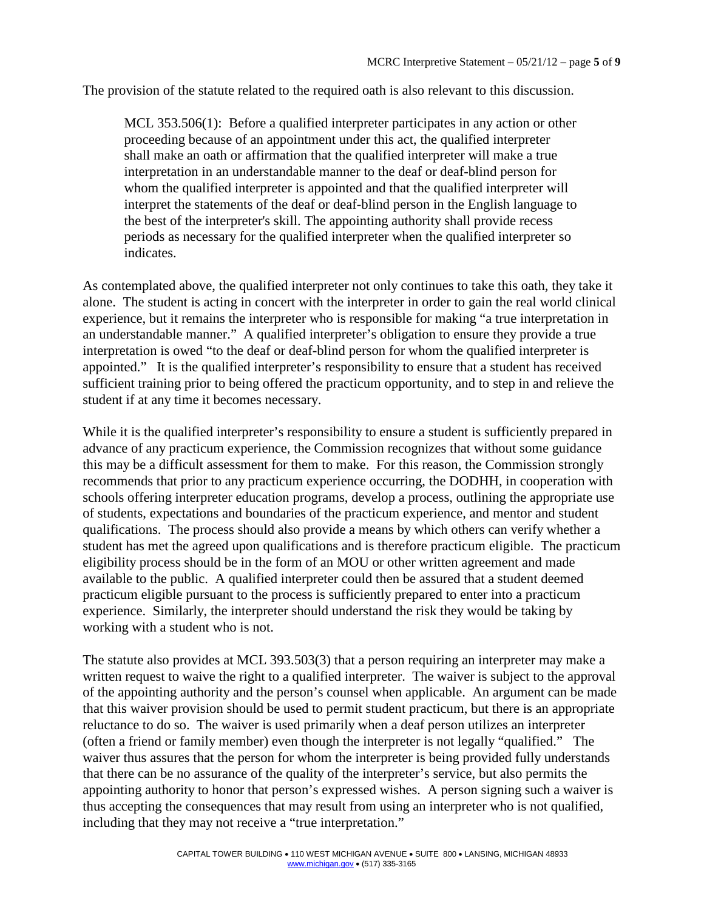The provision of the statute related to the required oath is also relevant to this discussion.

MCL 353.506(1): Before a qualified interpreter participates in any action or other proceeding because of an appointment under this act, the qualified interpreter shall make an oath or affirmation that the qualified interpreter will make a true interpretation in an understandable manner to the deaf or deaf-blind person for whom the qualified interpreter is appointed and that the qualified interpreter will interpret the statements of the deaf or deaf-blind person in the English language to the best of the interpreter's skill. The appointing authority shall provide recess periods as necessary for the qualified interpreter when the qualified interpreter so indicates.

As contemplated above, the qualified interpreter not only continues to take this oath, they take it alone. The student is acting in concert with the interpreter in order to gain the real world clinical experience, but it remains the interpreter who is responsible for making "a true interpretation in an understandable manner." A qualified interpreter's obligation to ensure they provide a true interpretation is owed "to the deaf or deaf-blind person for whom the qualified interpreter is appointed." It is the qualified interpreter's responsibility to ensure that a student has received sufficient training prior to being offered the practicum opportunity, and to step in and relieve the student if at any time it becomes necessary.

While it is the qualified interpreter's responsibility to ensure a student is sufficiently prepared in advance of any practicum experience, the Commission recognizes that without some guidance this may be a difficult assessment for them to make. For this reason, the Commission strongly recommends that prior to any practicum experience occurring, the DODHH, in cooperation with schools offering interpreter education programs, develop a process, outlining the appropriate use of students, expectations and boundaries of the practicum experience, and mentor and student qualifications. The process should also provide a means by which others can verify whether a student has met the agreed upon qualifications and is therefore practicum eligible. The practicum eligibility process should be in the form of an MOU or other written agreement and made available to the public. A qualified interpreter could then be assured that a student deemed practicum eligible pursuant to the process is sufficiently prepared to enter into a practicum experience. Similarly, the interpreter should understand the risk they would be taking by working with a student who is not.

The statute also provides at MCL 393.503(3) that a person requiring an interpreter may make a written request to waive the right to a qualified interpreter. The waiver is subject to the approval of the appointing authority and the person's counsel when applicable. An argument can be made that this waiver provision should be used to permit student practicum, but there is an appropriate reluctance to do so. The waiver is used primarily when a deaf person utilizes an interpreter (often a friend or family member) even though the interpreter is not legally "qualified." The waiver thus assures that the person for whom the interpreter is being provided fully understands that there can be no assurance of the quality of the interpreter's service, but also permits the appointing authority to honor that person's expressed wishes. A person signing such a waiver is thus accepting the consequences that may result from using an interpreter who is not qualified, including that they may not receive a "true interpretation."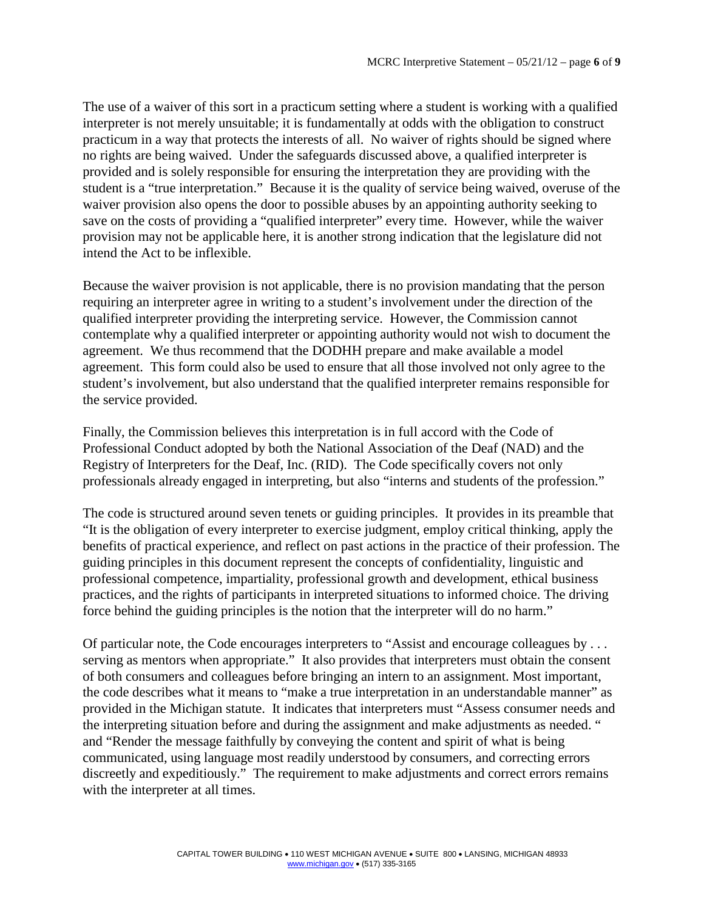The use of a waiver of this sort in a practicum setting where a student is working with a qualified interpreter is not merely unsuitable; it is fundamentally at odds with the obligation to construct practicum in a way that protects the interests of all. No waiver of rights should be signed where no rights are being waived. Under the safeguards discussed above, a qualified interpreter is provided and is solely responsible for ensuring the interpretation they are providing with the student is a "true interpretation." Because it is the quality of service being waived, overuse of the waiver provision also opens the door to possible abuses by an appointing authority seeking to save on the costs of providing a "qualified interpreter" every time. However, while the waiver provision may not be applicable here, it is another strong indication that the legislature did not intend the Act to be inflexible.

Because the waiver provision is not applicable, there is no provision mandating that the person requiring an interpreter agree in writing to a student's involvement under the direction of the qualified interpreter providing the interpreting service. However, the Commission cannot contemplate why a qualified interpreter or appointing authority would not wish to document the agreement. We thus recommend that the DODHH prepare and make available a model agreement. This form could also be used to ensure that all those involved not only agree to the student's involvement, but also understand that the qualified interpreter remains responsible for the service provided.

Finally, the Commission believes this interpretation is in full accord with the Code of Professional Conduct adopted by both the National Association of the Deaf (NAD) and the Registry of Interpreters for the Deaf, Inc. (RID). The Code specifically covers not only professionals already engaged in interpreting, but also "interns and students of the profession."

The code is structured around seven tenets or guiding principles. It provides in its preamble that "It is the obligation of every interpreter to exercise judgment, employ critical thinking, apply the benefits of practical experience, and reflect on past actions in the practice of their profession. The guiding principles in this document represent the concepts of confidentiality, linguistic and professional competence, impartiality, professional growth and development, ethical business practices, and the rights of participants in interpreted situations to informed choice. The driving force behind the guiding principles is the notion that the interpreter will do no harm."

Of particular note, the Code encourages interpreters to "Assist and encourage colleagues by . . . serving as mentors when appropriate." It also provides that interpreters must obtain the consent of both consumers and colleagues before bringing an intern to an assignment. Most important, the code describes what it means to "make a true interpretation in an understandable manner" as provided in the Michigan statute. It indicates that interpreters must "Assess consumer needs and the interpreting situation before and during the assignment and make adjustments as needed. " and "Render the message faithfully by conveying the content and spirit of what is being communicated, using language most readily understood by consumers, and correcting errors discreetly and expeditiously." The requirement to make adjustments and correct errors remains with the interpreter at all times.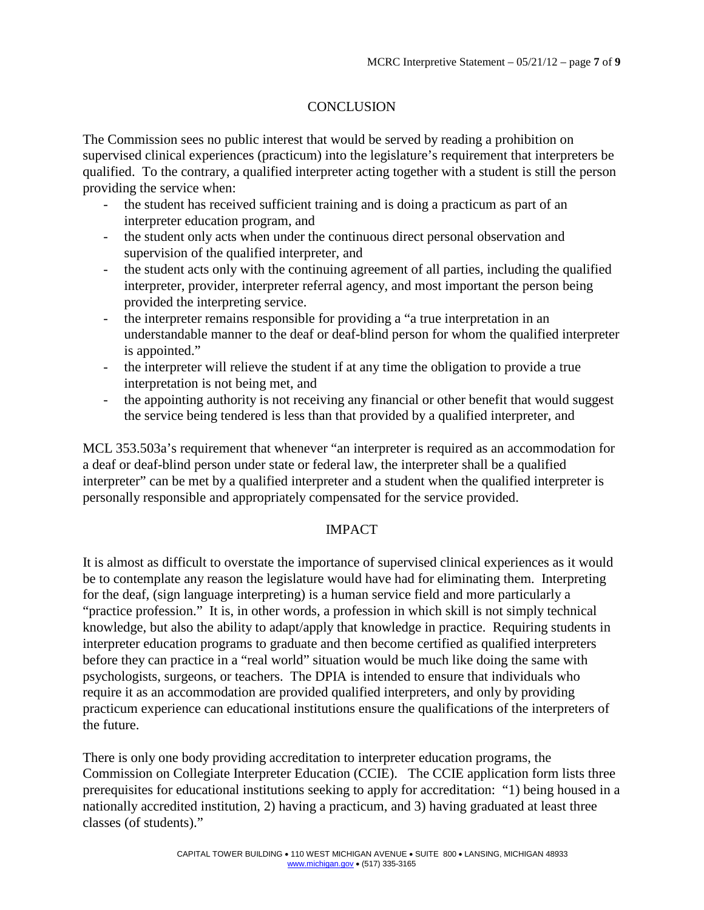# **CONCLUSION**

The Commission sees no public interest that would be served by reading a prohibition on supervised clinical experiences (practicum) into the legislature's requirement that interpreters be qualified. To the contrary, a qualified interpreter acting together with a student is still the person providing the service when:

- the student has received sufficient training and is doing a practicum as part of an interpreter education program, and
- the student only acts when under the continuous direct personal observation and supervision of the qualified interpreter, and
- the student acts only with the continuing agreement of all parties, including the qualified interpreter, provider, interpreter referral agency, and most important the person being provided the interpreting service.
- the interpreter remains responsible for providing a "a true interpretation in an understandable manner to the deaf or deaf-blind person for whom the qualified interpreter is appointed."
- the interpreter will relieve the student if at any time the obligation to provide a true interpretation is not being met, and
- the appointing authority is not receiving any financial or other benefit that would suggest the service being tendered is less than that provided by a qualified interpreter, and

MCL 353.503a's requirement that whenever "an interpreter is required as an accommodation for a deaf or deaf-blind person under state or federal law, the interpreter shall be a qualified interpreter" can be met by a qualified interpreter and a student when the qualified interpreter is personally responsible and appropriately compensated for the service provided.

# IMPACT

It is almost as difficult to overstate the importance of supervised clinical experiences as it would be to contemplate any reason the legislature would have had for eliminating them. Interpreting for the deaf, (sign language interpreting) is a human service field and more particularly a "practice profession." It is, in other words, a profession in which skill is not simply technical knowledge, but also the ability to adapt/apply that knowledge in practice. Requiring students in interpreter education programs to graduate and then become certified as qualified interpreters before they can practice in a "real world" situation would be much like doing the same with psychologists, surgeons, or teachers. The DPIA is intended to ensure that individuals who require it as an accommodation are provided qualified interpreters, and only by providing practicum experience can educational institutions ensure the qualifications of the interpreters of the future.

There is only one body providing accreditation to interpreter education programs, the Commission on Collegiate Interpreter Education (CCIE). The CCIE application form lists three prerequisites for educational institutions seeking to apply for accreditation: "1) being housed in a nationally accredited institution, 2) having a practicum, and 3) having graduated at least three classes (of students)."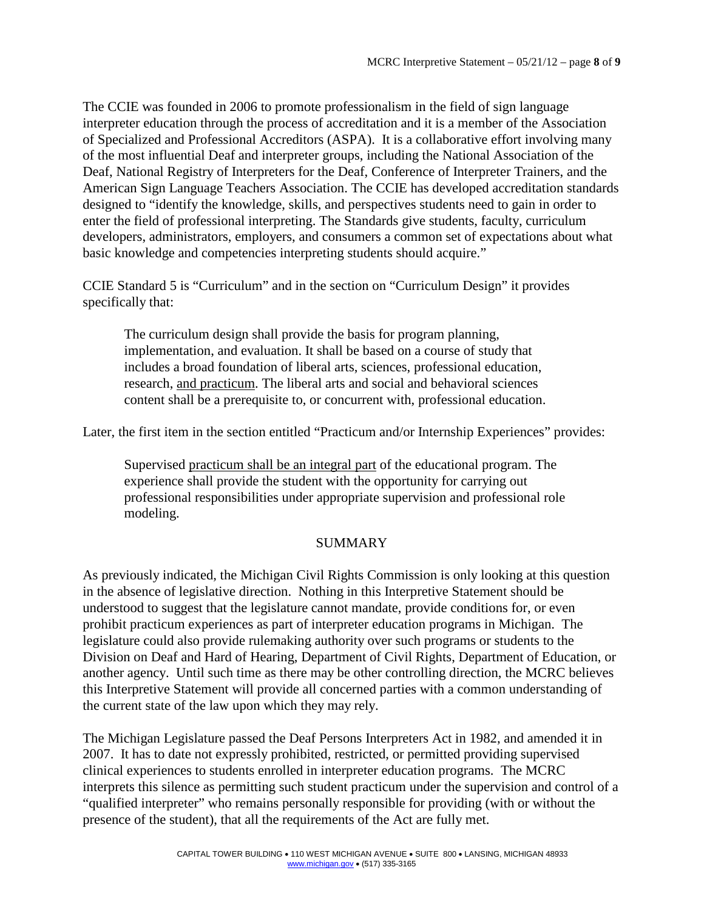The CCIE was founded in 2006 to promote professionalism in the field of sign language interpreter education through the process of accreditation and it is a member of the Association of Specialized and Professional Accreditors (ASPA). It is a collaborative effort involving many of the most influential Deaf and interpreter groups, including the National Association of the Deaf, National Registry of Interpreters for the Deaf, Conference of Interpreter Trainers, and the American Sign Language Teachers Association. The CCIE has developed accreditation standards designed to "identify the knowledge, skills, and perspectives students need to gain in order to enter the field of professional interpreting. The Standards give students, faculty, curriculum developers, administrators, employers, and consumers a common set of expectations about what basic knowledge and competencies interpreting students should acquire."

CCIE Standard 5 is "Curriculum" and in the section on "Curriculum Design" it provides specifically that:

The curriculum design shall provide the basis for program planning, implementation, and evaluation. It shall be based on a course of study that includes a broad foundation of liberal arts, sciences, professional education, research, and practicum. The liberal arts and social and behavioral sciences content shall be a prerequisite to, or concurrent with, professional education.

Later, the first item in the section entitled "Practicum and/or Internship Experiences" provides:

Supervised practicum shall be an integral part of the educational program. The experience shall provide the student with the opportunity for carrying out professional responsibilities under appropriate supervision and professional role modeling.

# SUMMARY

As previously indicated, the Michigan Civil Rights Commission is only looking at this question in the absence of legislative direction. Nothing in this Interpretive Statement should be understood to suggest that the legislature cannot mandate, provide conditions for, or even prohibit practicum experiences as part of interpreter education programs in Michigan. The legislature could also provide rulemaking authority over such programs or students to the Division on Deaf and Hard of Hearing, Department of Civil Rights, Department of Education, or another agency. Until such time as there may be other controlling direction, the MCRC believes this Interpretive Statement will provide all concerned parties with a common understanding of the current state of the law upon which they may rely.

The Michigan Legislature passed the Deaf Persons Interpreters Act in 1982, and amended it in 2007. It has to date not expressly prohibited, restricted, or permitted providing supervised clinical experiences to students enrolled in interpreter education programs. The MCRC interprets this silence as permitting such student practicum under the supervision and control of a "qualified interpreter" who remains personally responsible for providing (with or without the presence of the student), that all the requirements of the Act are fully met.